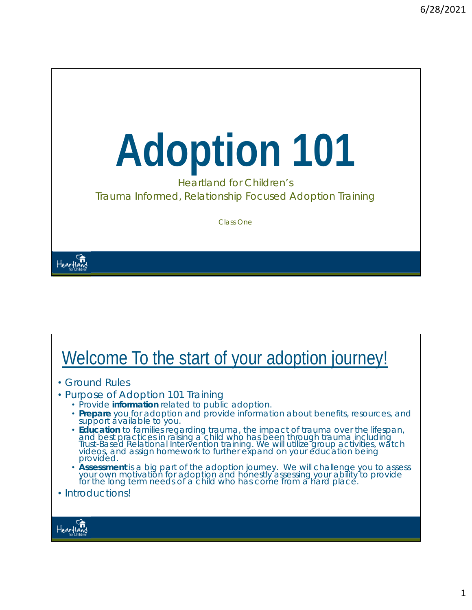# **Adoption 101**

Heartland for Children's Trauma Informed, Relationship Focused Adoption Training

Class One

#### Heartland<br>Heartland

#### Welcome To the start of your adoption journey! • Ground Rules • Purpose of Adoption 101 Training • Provide *information* related to public adoption. • **Prepare** you for adoption and provide information about benefits, resources, and support available to you. • *Education* to families regarding trauma, the impact of trauma over the lifespan, and best practices in raising a child who has been through trauma including Trust-Based Relational Intervention training. We will utilize group activities, watch videos, and assign homework to further expand on your education being provided. • *Assessment* is a big part of the adoption journey. We will challenge you to assess your own motivation for adoption and honestly assessing your ability to provide for the long term needs of a child who has come from a hard place. • Introductions!Heartia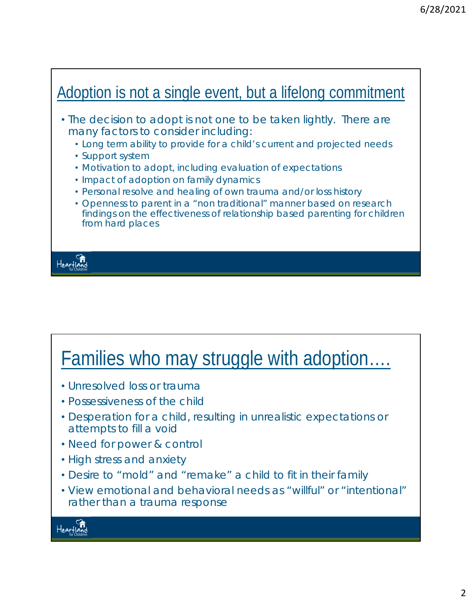

#### Families who may struggle with adoption….

- Unresolved loss or trauma
- Possessiveness of the child
- Desperation for a child, resulting in unrealistic expectations or attempts to fill a void
- Need for power & control
- High stress and anxiety
- Desire to "mold" and "remake" a child to fit in their family
- View emotional and behavioral needs as "willful" or "intentional" rather than a trauma response

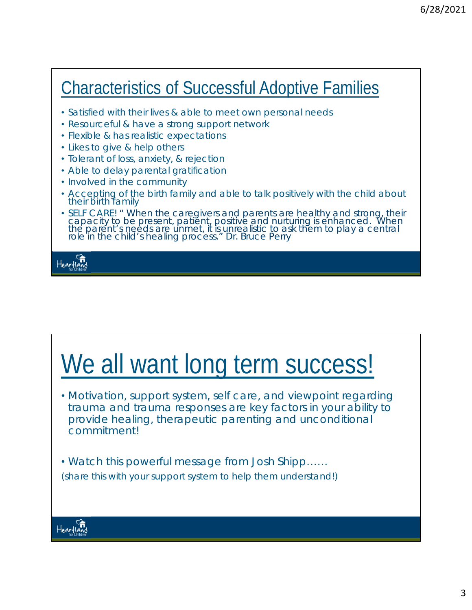#### Characteristics of Successful Adoptive Families

- Satisfied with their lives & able to meet own personal needs
- Resourceful & have a strong support network
- Flexible & has realistic expectations
- Likes to give & help others
- Tolerant of loss, anxiety, & rejection
- Able to delay parental gratification
- Involved in the community
- Accepting of the birth family and able to talk positively with the child about their birth family
- SELF CARE! *" When the caregivers and parents are healthy and strong, their capacity to be present, patient, positive and nurturing is enhanced. When the parent's needs are unmet, it is unrealistic to ask them to play a central role in the child's healing process." Dr. Bruce Perry*

Heartia

#### We all want long term success!

• Motivation, support system, self care, and viewpoint regarding trauma and trauma responses are key factors in your ability to provide healing, therapeutic parenting and unconditional commitment!

• Watch this powerful message from Josh Shipp…… *(share this with your support system to help them understand!)*

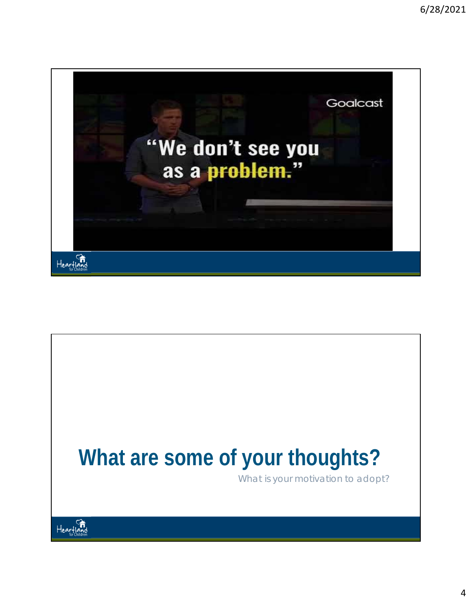

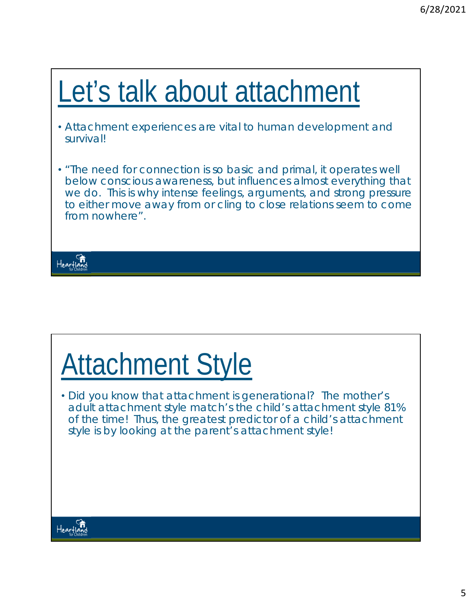## Let's talk about attachment

- Attachment experiences are vital to human development and survival!
- "The need for connection is so basic and primal, it operates well below conscious awareness, but influences almost everything that we do. This is why intense feelings, arguments, and strong pressure to either move away from or cling to close relations seem to come from nowhere".



## Attachment Style

• Did you know that attachment is generational? The mother's adult attachment style match's the child's attachment style 81% of the time! *Thus, the greatest predictor of a child's attachment style is by looking at the parent's attachment style!* 

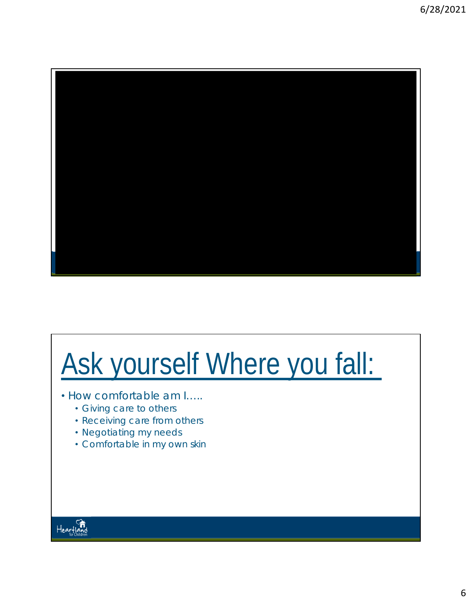

## Ask yourself Where you fall:

- How comfortable am I…..
	- Giving care to others
	- Receiving care from others
	- Negotiating my needs
	- Comfortable in my own skin

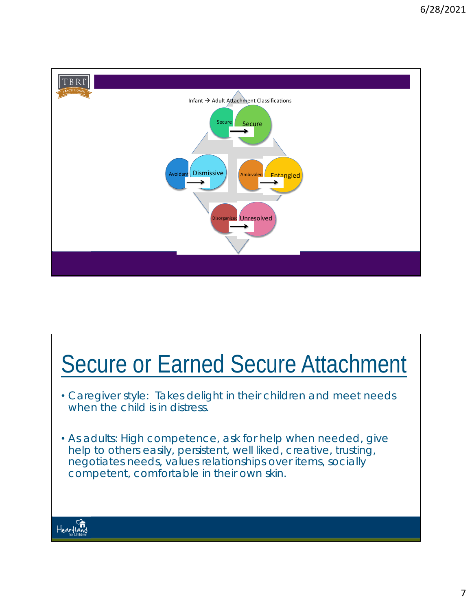

#### Secure or Earned Secure Attachment

- Caregiver style: Takes delight in their children and meet needs when the child is in distress.
- As adults: High competence, ask for help when needed, give help to others easily, persistent, well liked, creative, trusting, negotiates needs, values relationships over items, socially competent, comfortable in their own skin.

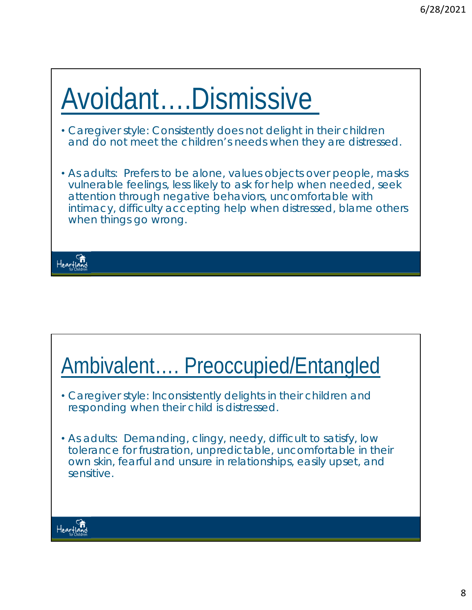### Avoidant….Dismissive

- Caregiver style: Consistently does not delight in their children and do not meet the children's needs when they are distressed.
- As adults: Prefers to be alone, values objects over people, masks vulnerable feelings, less likely to ask for help when needed, seek attention through negative behaviors, uncomfortable with intimacy, difficulty accepting help when distressed, blame others when things go wrong.



#### Ambivalent…. Preoccupied/Entangled

- Caregiver style: Inconsistently delights in their children and responding when their child is distressed.
- As adults: Demanding, clingy, needy, difficult to satisfy, low tolerance for frustration, unpredictable, uncomfortable in their own skin, fearful and unsure in relationships, easily upset, and sensitive.

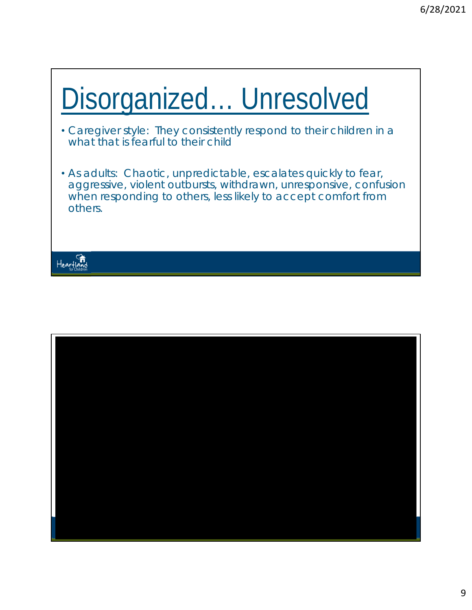#### Disorganized… Unresolved

- Caregiver style: They consistently respond to their children in a what that is fearful to their child
- As adults: Chaotic, unpredictable, escalates quickly to fear, aggressive, violent outbursts, withdrawn, unresponsive, confusion when responding to others, less likely to accept comfort from others.



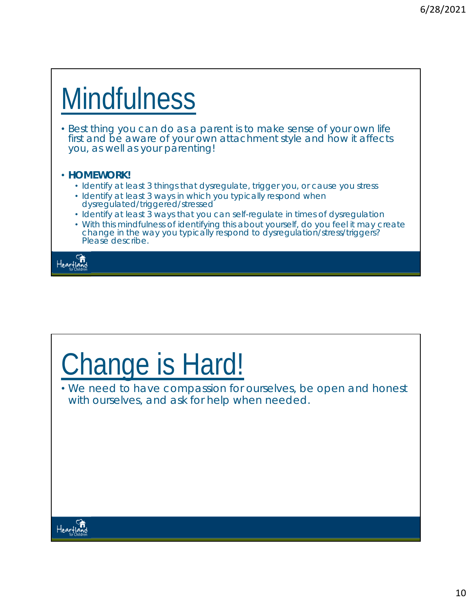## **Mindfulness**

• Best thing you can do as a parent is to make sense of your own life first and be aware of your own attachment style and how it affects you, as well as your parenting!

#### • **HOMEWORK!**

- *Identify at least 3 things that dysregulate, trigger you, or cause you stress*
- *Identify at least 3 ways in which you typically respond when dysregulated/triggered/stressed*
- *Identify at least 3 ways that you can self-regulate in times of dysregulation*
- With this mindfulness of identifying this about yourself, do you feel it may create *change in the way you typically respond to dysregulation/stress/triggers? Please describe.*

Heartland

## Change is Hard!

• We need to have compassion for ourselves, be open and honest with ourselves, and ask for help when needed.